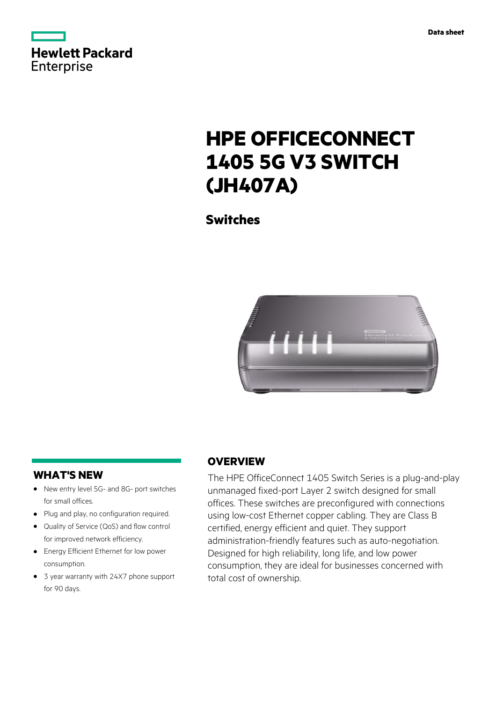

# **HPE OFFICECONNECT 1405 5G V3 SWITCH (JH407A)**

**Switches**



# **WHAT'S NEW**

- New entry level 5G- and 8G- port switches **·** for small offices.
- Plug and play, no configuration required. **·**
- Quality of Service (QoS) and flow control for improved network efficiency. **·**
- Energy Efficient Ethernet for low power **·** consumption.
- 3 year warranty with 24X7 phone support **·** for 90 days.

# **OVERVIEW**

The HPE OfficeConnect 1405 Switch Series is a plug-and-play unmanaged fixed-port Layer 2 switch designed for small offices. These switches are preconfigured with connections using low-cost Ethernet copper cabling. They are Class B certified, energy efficient and quiet. They support administration-friendly features such as auto-negotiation. Designed for high reliability, long life, and low power consumption, they are ideal for businesses concerned with total cost of ownership.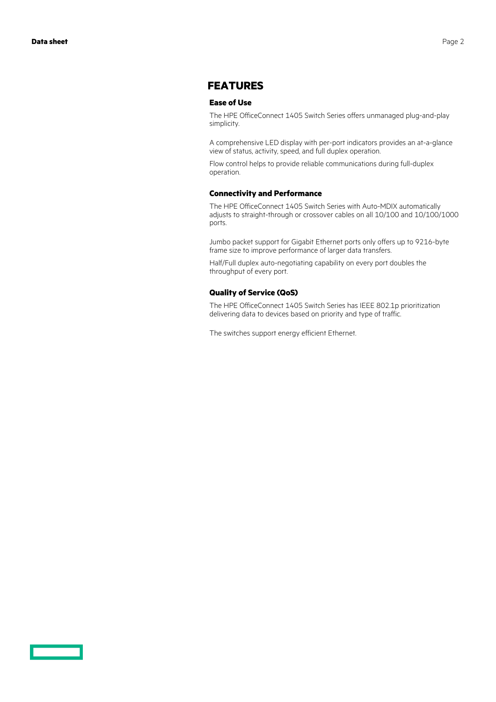# **FEATURES**

#### **Ease of Use**

The HPE OfficeConnect 1405 Switch Series offers unmanaged plug-and-play simplicity.

A comprehensive LED display with per-port indicators provides an at-a-glance view of status, activity, speed, and full duplex operation.

Flow control helps to provide reliable communications during full-duplex operation.

#### **Connectivity and Performance**

The HPE OfficeConnect 1405 Switch Series with Auto-MDIX automatically adjusts to straight-through or crossover cables on all 10/100 and 10/100/1000 ports.

Jumbo packet support for Gigabit Ethernet ports only offers up to 9216-byte frame size to improve performance of larger data transfers.

Half/Full duplex auto-negotiating capability on every port doubles the throughput of every port.

### **Quality of Service (QoS)**

The HPE OfficeConnect 1405 Switch Series has IEEE 802.1p prioritization delivering data to devices based on priority and type of traffic.

The switches support energy efficient Ethernet.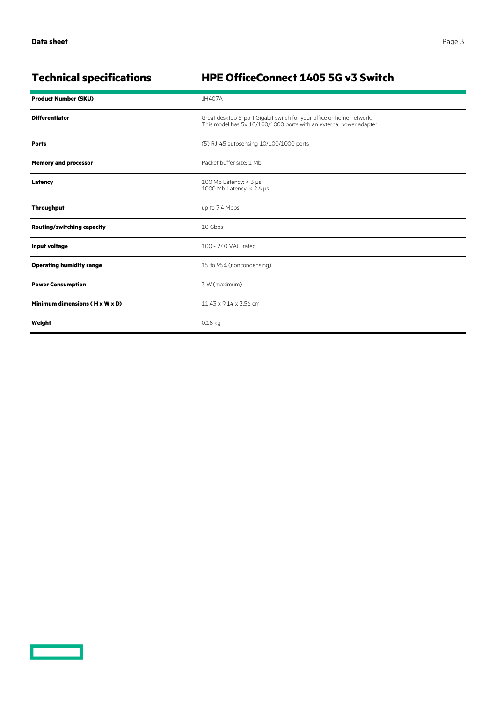<u>and the set of the set of the set of the set of the set of the set of the set of the set of the set of the set of the set of the set of the set of the set of the set of the set of the set of the set of the set of the set </u>

# **Technical specifications HPE OfficeConnect 1405 5G v3 Switch**

| <b>Product Number (SKU)</b>       | <b>JH407A</b>                                                                                                                               |
|-----------------------------------|---------------------------------------------------------------------------------------------------------------------------------------------|
| <b>Differentiator</b>             | Great desktop 5-port Gigabit switch for your office or home network.<br>This model has 5x 10/100/1000 ports with an external power adapter. |
| <b>Ports</b>                      | (5) RJ-45 autosensing 10/100/1000 ports                                                                                                     |
| <b>Memory and processor</b>       | Packet buffer size: 1 Mb                                                                                                                    |
| Latency                           | 100 Mb Latency: $<$ 3 µs<br>1000 Mb Latency: < 2.6 µs                                                                                       |
| <b>Throughput</b>                 | up to 7.4 Mpps                                                                                                                              |
| <b>Routing/switching capacity</b> | 10 Gbps                                                                                                                                     |
| Input voltage                     | 100 - 240 VAC, rated                                                                                                                        |
| <b>Operating humidity range</b>   | 15 to 95% (noncondensing)                                                                                                                   |
| <b>Power Consumption</b>          | 3 W (maximum)                                                                                                                               |
| Minimum dimensions (H x W x D)    | 11.43 x 9.14 x 3.56 cm                                                                                                                      |
| Weight                            | 0.18 kg                                                                                                                                     |